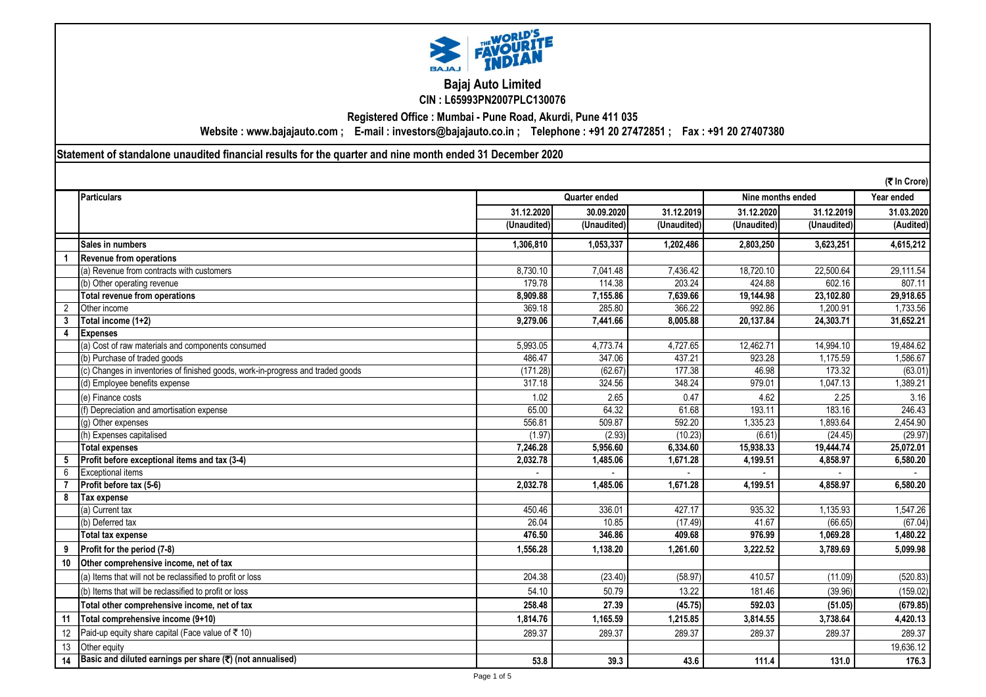

**Bajaj Auto Limited CIN : L65993PN2007PLC130076**

**Registered Office : Mumbai - Pune Road, Akurdi, Pune 411 035**

**Website : www.bajajauto.com ; E-mail : investors@bajajauto.co.in ; Telephone : +91 20 27472851 ; Fax : +91 20 27407380**

**Statement of standalone unaudited financial results for the quarter and nine month ended 31 December 2020**

|                | (そ In Crore)                                                                    |                                    |             |             |             |                                   |            |
|----------------|---------------------------------------------------------------------------------|------------------------------------|-------------|-------------|-------------|-----------------------------------|------------|
|                | Particulars                                                                     | Nine months ended<br>Quarter ended |             |             |             | Year ended                        |            |
|                |                                                                                 | 31.12.2020                         | 30.09.2020  | 31.12.2019  | 31.12.2020  | 31.12.2019                        | 31.03.2020 |
|                |                                                                                 | (Unaudited)                        | (Unaudited) | (Unaudited) | (Unaudited) | $\overline{(\mathsf{Unaudited})}$ | (Audited)  |
|                | <b>Sales in numbers</b>                                                         | 1,306,810                          | 1,053,337   | 1,202,486   | 2,803,250   | 3,623,251                         | 4,615,212  |
|                | <b>Revenue from operations</b>                                                  |                                    |             |             |             |                                   |            |
|                | (a) Revenue from contracts with customers                                       | 8.730.10                           | 7,041.48    | 7,436.42    | 18,720.10   | 22,500.64                         | 29,111.54  |
|                | (b) Other operating revenue                                                     | 179.78                             | 114.38      | 203.24      | 424.88      | 602.16                            | 807.11     |
|                | <b>Total revenue from operations</b>                                            | 8,909.88                           | 7,155.86    | 7,639.66    | 19,144.98   | 23,102.80                         | 29,918.65  |
| $\overline{2}$ | Other income                                                                    | 369.18                             | 285.80      | 366.22      | 992.86      | 1,200.91                          | 1,733.56   |
| 3              | Total income (1+2)                                                              | 9,279.06                           | 7,441.66    | 8.005.88    | 20,137.84   | 24,303.71                         | 31,652.21  |
| $\overline{4}$ | <b>Expenses</b>                                                                 |                                    |             |             |             |                                   |            |
|                | (a) Cost of raw materials and components consumed                               | 5,993.05                           | 4,773.74    | 4,727.65    | 12,462.71   | 14,994.10                         | 19,484.62  |
|                | (b) Purchase of traded goods                                                    | 486.47                             | 347.06      | 437.21      | 923.28      | 1,175.59                          | 1,586.67   |
|                | (c) Changes in inventories of finished goods, work-in-progress and traded goods | (171.28)                           | (62.67)     | 177.38      | 46.98       | 173.32                            | (63.01)    |
|                | (d) Employee benefits expense                                                   | 317.18                             | 324.56      | 348.24      | 979.01      | 1.047.13                          | 1,389.21   |
|                | (e) Finance costs                                                               | 1.02                               | 2.65        | 0.47        | 4.62        | 2.25                              | 3.16       |
|                | (f) Depreciation and amortisation expense                                       | 65.00                              | 64.32       | 61.68       | 193.11      | 183.16                            | 246.43     |
|                | (g) Other expenses                                                              | 556.81                             | 509.87      | 592.20      | 1,335.23    | .893.64                           | 2,454.90   |
|                | (h) Expenses capitalised                                                        | (1.97)                             | (2.93)      | (10.23)     | (6.61)      | (24.45)                           | (29.97)    |
|                | <b>Total expenses</b>                                                           | 7.246.28                           | 5,956.60    | 6,334.60    | 15,938.33   | 19,444.74                         | 25.072.01  |
| 5              | Profit before exceptional items and tax (3-4)                                   | 2,032.78                           | 1,485.06    | 1,671.28    | 4,199.51    | 4,858.97                          | 6,580.20   |
| 6              | <b>Exceptional items</b>                                                        |                                    |             |             |             |                                   |            |
|                | Profit before tax (5-6)                                                         | 2.032.78                           | 1,485.06    | 1.671.28    | 4.199.51    | 4.858.97                          | 6.580.20   |
| 8              | <b>Tax expense</b>                                                              |                                    |             |             |             |                                   |            |
|                | (a) Current tax                                                                 | 450.46                             | 336.01      | 427.17      | 935.32      | 1,135.93                          | 1,547.26   |
|                | (b) Deferred tax                                                                | 26.04                              | 10.85       | (17.49)     | 41.67       | (66.65)                           | (67.04)    |
|                | <b>Total tax expense</b>                                                        | 476.50                             | 346.86      | 409.68      | 976.99      | 1.069.28                          | 1.480.22   |
| 9              | Profit for the period (7-8)                                                     | 1.556.28                           | 1,138.20    | 1.261.60    | 3,222.52    | 3,789.69                          | 5,099.98   |
| 10             | Other comprehensive income, net of tax                                          |                                    |             |             |             |                                   |            |
|                | (a) Items that will not be reclassified to profit or loss                       | 204.38                             | (23.40)     | (58.97)     | 410.57      | (11.09)                           | (520.83)   |
|                | (b) Items that will be reclassified to profit or loss                           | 54.10                              | 50.79       | 13.22       | 181.46      | (39.96)                           | (159.02)   |
|                | Total other comprehensive income, net of tax                                    | 258.48                             | 27.39       | (45.75)     | 592.03      | (51.05)                           | (679.85)   |
| $-11$          | Total comprehensive income (9+10)                                               | 1,814.76                           | 1,165.59    | 1,215.85    | 3,814.55    | 3,738.64                          | 4,420.13   |
| 12             | Paid-up equity share capital (Face value of ₹ 10)                               | 289.37                             | 289.37      | 289.37      | 289.37      | 289.37                            | 289.37     |
| 13             | Other equity                                                                    |                                    |             |             |             |                                   | 19,636.12  |
| 14             | Basic and diluted earnings per share $(\overline{\mathbf{C}})$ (not annualised) | 53.8                               | 39.3        | 43.6        | 111.4       | 131.0                             | 176.3      |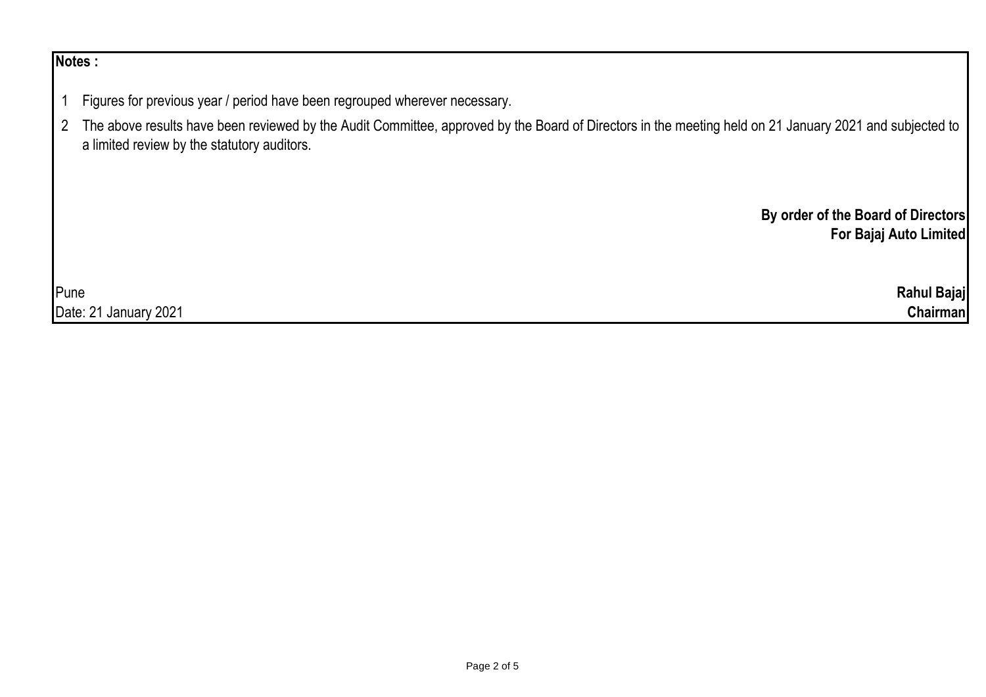## **Notes :**

- 1 Figures for previous year / period have been regrouped wherever necessary.
- 2 The above results have been reviewed by the Audit Committee, approved by the Board of Directors in the meeting held on 21 January 2021 and subjected to a limited review by the statutory auditors.

**By order of the Board of Directors For Bajaj Auto Limited**

| Pune                                             | Rahul Bajaj     |
|--------------------------------------------------|-----------------|
| 2021<br>Date: $2$<br>$\mathbf{a}$<br>, January ' | <b>Chairman</b> |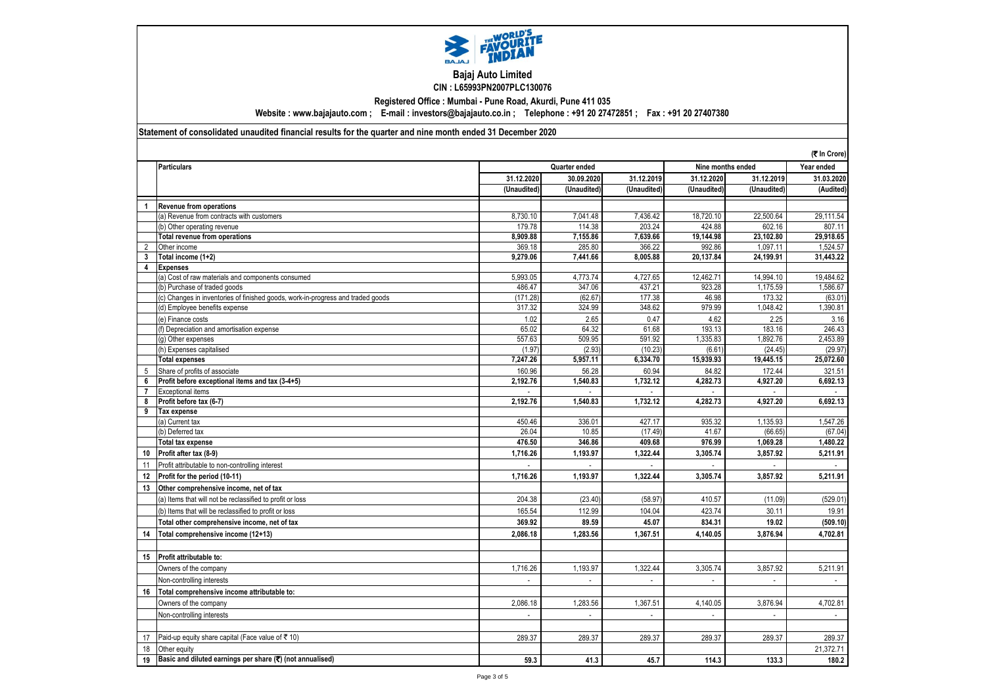

## **Bajaj Auto Limited CIN : L65993PN2007PLC130076**

**Registered Office : Mumbai - Pune Road, Akurdi, Pune 411 035**

**Website : www.bajajauto.com ; E-mail : investors@bajajauto.co.in ; Telephone : +91 20 27472851 ; Fax : +91 20 27407380**

**Statement of consolidated unaudited financial results for the quarter and nine month ended 31 December 2020**

|    | (₹ In Crore)                                                                    |                          |                |               |                |                   |                             |  |
|----|---------------------------------------------------------------------------------|--------------------------|----------------|---------------|----------------|-------------------|-----------------------------|--|
|    | <b>Particulars</b>                                                              |                          | Quarter ended  |               |                | Nine months ended |                             |  |
|    |                                                                                 | 31.12.2020               | 30.09.2020     | 31.12.2019    | 31.12.2020     | 31.12.2019        | 31.03.2020                  |  |
|    |                                                                                 | (Unaudited)              | (Unaudited)    | (Unaudited)   | (Unaudited)    | (Unaudited)       | (Audited)                   |  |
| 1  | <b>Revenue from operations</b>                                                  |                          |                |               |                |                   |                             |  |
|    | (a) Revenue from contracts with customers                                       | 8,730.10                 | 7,041.48       | 7,436.42      | 18,720.10      | 22,500.64         | 29,111.54                   |  |
|    | (b) Other operating revenue                                                     | 179.78                   | 114.38         | 203.24        | 424.88         | 602.16            | 807.11                      |  |
|    | <b>Total revenue from operations</b>                                            | 8,909.88                 | 7,155.86       | 7,639.66      | 19,144.98      | 23,102.80         | 29,918.65                   |  |
| 2  | Other income                                                                    | 369.18                   | 285.80         | 366.22        | 992.86         | 1,097.11          | 1,524.57                    |  |
| 3  | Total income (1+2)                                                              | 9,279.06                 | 7,441.66       | 8.005.88      | 20,137.84      | 24,199.91         | 31,443.22                   |  |
| 4  | <b>Expenses</b>                                                                 |                          |                |               |                |                   |                             |  |
|    | (a) Cost of raw materials and components consumed                               | 5,993.05                 | 4,773.74       | 4.727.65      | 12,462.71      | 14,994.10         | 19,484.62                   |  |
|    | (b) Purchase of traded goods                                                    | 486.47                   | 347.06         | 437.21        | 923.28         | 1,175.59          | 1,586.67                    |  |
|    | (c) Changes in inventories of finished goods, work-in-progress and traded goods | (171.28)                 | (62.67)        | 177.38        | 46.98          | 173.32            | (63.01)                     |  |
|    | (d) Employee benefits expense                                                   | 317.32                   | 324.99         | 348.62        | 979.99         | 1,048.42          | 1,390.81                    |  |
|    | (e) Finance costs                                                               | 1.02                     | 2.65           | 0.47          | 4.62           | 2.25              | 3.16                        |  |
|    | f) Depreciation and amortisation expense                                        | 65.02                    | 64.32          | 61.68         | 193.13         | 183.16            | 246.43                      |  |
|    | (q) Other expenses                                                              | 557.63                   | 509.95         | 591.92        | 1,335.83       | 1,892.76          | 2,453.89                    |  |
|    | (h) Expenses capitalised                                                        | (1.97)                   | (2.93)         | (10.23)       | (6.61)         | (24.45)           | (29.97)                     |  |
|    | <b>Total expenses</b>                                                           | 7,247.26                 | 5,957.11       | 6,334.70      | 15,939.93      | 19,445.15         | 25,072.60                   |  |
| 5  | Share of profits of associate                                                   | 160.96                   | 56.28          | 60.94         | 84.82          | 172.44            | 321.51                      |  |
| 6  | Profit before exceptional items and tax (3-4+5)                                 | 2,192.76                 | 1,540.83       | 1,732.12      | 4,282.73       | 4,927.20          | 6,692.13                    |  |
| 7  | Exceptional items                                                               |                          |                |               |                |                   |                             |  |
| 8  | Profit before tax (6-7)                                                         | 2,192.76                 | 1,540.83       | 1,732.12      | 4,282.73       | 4,927.20          | 6,692.13                    |  |
| 9  | Tax expense                                                                     |                          |                |               |                |                   |                             |  |
|    | (a) Current tax                                                                 | 450.46                   | 336.01         | 427.17        | 935.32         | 1,135.93          | 1,547.26                    |  |
|    | (b) Deferred tax                                                                | 26.04                    | 10.85          | (17.49)       | 41.67          | (66.65)           | (67.04)                     |  |
|    | <b>Total tax expense</b>                                                        | 476.50                   | 346.86         | 409.68        | 976.99         | 1,069.28          | 1,480.22                    |  |
| 10 | Profit after tax (8-9)                                                          | 1,716.26                 | 1,193.97       | 1,322.44      | 3,305.74       | 3,857.92          | 5,211.91                    |  |
| 11 | Profit attributable to non-controlling interest                                 | $\overline{a}$           | $\overline{a}$ | $\mathcal{L}$ | $\overline{a}$ |                   |                             |  |
| 12 | Profit for the period (10-11)                                                   | 1,716.26                 | 1,193.97       | 1,322.44      | 3,305.74       | 3,857.92          | 5,211.91                    |  |
| 13 | Other comprehensive income, net of tax                                          |                          |                |               |                |                   |                             |  |
|    | (a) Items that will not be reclassified to profit or loss                       | 204.38                   | (23.40)        | (58.97)       | 410.57         | (11.09)           | (529.01)                    |  |
|    | (b) Items that will be reclassified to profit or loss                           | 165.54                   | 112.99         | 104.04        | 423.74         | 30.11             | 19.91                       |  |
|    | Total other comprehensive income, net of tax                                    | 369.92                   | 89.59          | 45.07         | 834.31         | 19.02             | (509.10)                    |  |
| 14 | Total comprehensive income (12+13)                                              | 2,086.18                 | 1,283.56       | 1,367.51      | 4,140.05       | 3,876.94          | 4,702.81                    |  |
|    |                                                                                 |                          |                |               |                |                   |                             |  |
| 15 | Profit attributable to:                                                         |                          |                |               |                |                   |                             |  |
|    | Owners of the company                                                           | 1,716.26                 | 1,193.97       | 1,322.44      | 3,305.74       | 3,857.92          | 5,211.91                    |  |
|    | Non-controlling interests                                                       | $\overline{\phantom{a}}$ |                |               |                |                   | $\overline{\phantom{a}}$    |  |
| 16 | Total comprehensive income attributable to:                                     |                          |                |               |                |                   |                             |  |
|    | Owners of the company                                                           | 2,086.18                 | 1,283.56       | 1,367.51      | 4,140.05       | 3,876.94          | 4,702.81                    |  |
|    | Non-controlling interests                                                       | $\overline{a}$           |                |               | ÷.             |                   | $\mathcal{L}^{\mathcal{A}}$ |  |
|    |                                                                                 |                          |                |               |                |                   |                             |  |
| 17 | Paid-up equity share capital (Face value of ₹10)                                | 289.37                   | 289.37         | 289.37        | 289.37         | 289.37            | 289.37                      |  |
| 18 | Other equity                                                                    |                          |                |               |                |                   | 21,372.71                   |  |
|    | Basic and diluted earnings per share $(\overline{\tau})$ (not annualised)       | 59.3                     | 41.3           | 45.7          | 114.3          | 133.3             | 180.2                       |  |
| 19 |                                                                                 |                          |                |               |                |                   |                             |  |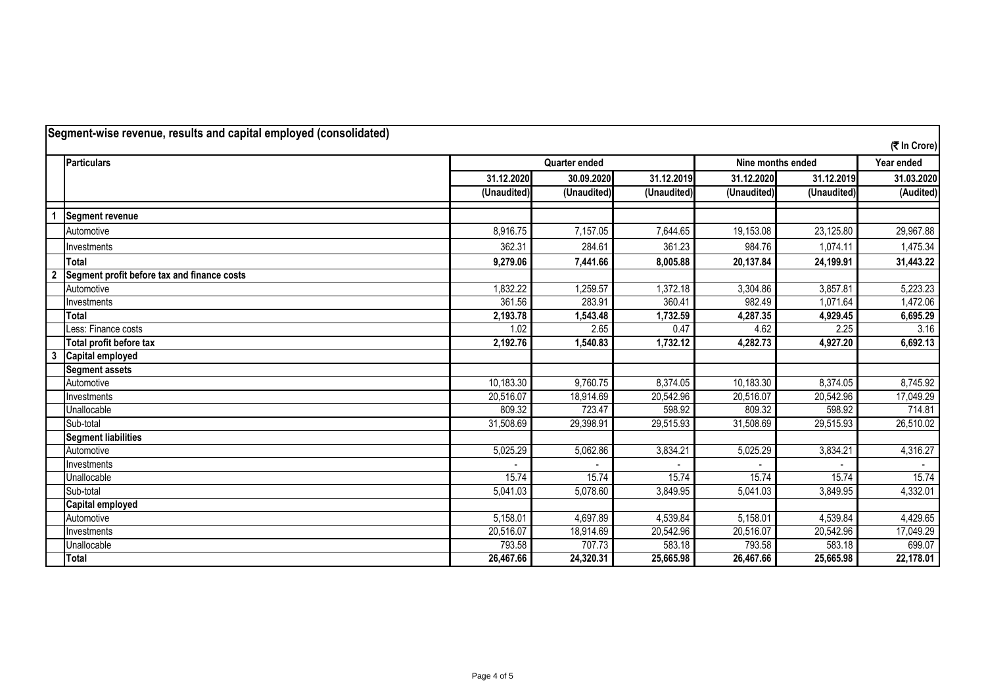|                | Segment-wise revenue, results and capital employed (consolidated) |                                           |             |             |             |             | (₹ In Crore) |
|----------------|-------------------------------------------------------------------|-------------------------------------------|-------------|-------------|-------------|-------------|--------------|
|                | <b>Particulars</b>                                                | <b>Quarter ended</b><br>Nine months ended |             |             | Year ended  |             |              |
|                |                                                                   | 31.12.2020                                | 30.09.2020  | 31.12.2019  | 31.12.2020  | 31.12.2019  | 31.03.2020   |
|                |                                                                   | (Unaudited)                               | (Unaudited) | (Unaudited) | (Unaudited) | (Unaudited) | (Audited)    |
|                | <b>Segment revenue</b>                                            |                                           |             |             |             |             |              |
|                | Automotive                                                        | 8,916.75                                  | 7,157.05    | 7,644.65    | 19,153.08   | 23,125.80   | 29,967.88    |
|                | Investments                                                       | 362.31                                    | 284.61      | 361.23      | 984.76      | 1,074.11    | 1,475.34     |
|                | <b>Total</b>                                                      | 9,279.06                                  | 7,441.66    | 8,005.88    | 20,137.84   | 24,199.91   | 31,443.22    |
| $\overline{2}$ | Segment profit before tax and finance costs                       |                                           |             |             |             |             |              |
|                | Automotive                                                        | 1,832.22                                  | 1,259.57    | 1,372.18    | 3,304.86    | 3,857.81    | 5,223.23     |
|                | Investments                                                       | 361.56                                    | 283.91      | 360.41      | 982.49      | 1,071.64    | 1,472.06     |
|                | <b>Total</b>                                                      | 2,193.78                                  | 1,543.48    | 1,732.59    | 4,287.35    | 4,929.45    | 6,695.29     |
|                | Less: Finance costs                                               | 1.02                                      | 2.65        | 0.47        | 4.62        | 2.25        | 3.16         |
|                | Total profit before tax                                           | 2,192.76                                  | 1,540.83    | 1,732.12    | 4,282.73    | 4,927.20    | 6,692.13     |
| 3              | Capital employed                                                  |                                           |             |             |             |             |              |
|                | <b>Segment assets</b>                                             |                                           |             |             |             |             |              |
|                | Automotive                                                        | 10,183.30                                 | 9,760.75    | 8,374.05    | 10,183.30   | 8,374.05    | 8,745.92     |
|                | Investments                                                       | 20,516.07                                 | 18,914.69   | 20,542.96   | 20,516.07   | 20,542.96   | 17,049.29    |
|                | Unallocable                                                       | 809.32                                    | 723.47      | 598.92      | 809.32      | 598.92      | 714.81       |
|                | Sub-total                                                         | 31,508.69                                 | 29,398.91   | 29,515.93   | 31,508.69   | 29,515.93   | 26,510.02    |
|                | <b>Segment liabilities</b>                                        |                                           |             |             |             |             |              |
|                | Automotive                                                        | 5,025.29                                  | 5,062.86    | 3,834.21    | 5,025.29    | 3,834.21    | 4,316.27     |
|                | Investments                                                       |                                           |             |             |             |             |              |
|                | Unallocable                                                       | 15.74                                     | 15.74       | 15.74       | 15.74       | 15.74       | 15.74        |
|                | Sub-total                                                         | 5,041.03                                  | 5,078.60    | 3,849.95    | 5,041.03    | 3,849.95    | 4,332.01     |
|                | <b>Capital employed</b>                                           |                                           |             |             |             |             |              |
|                | Automotive                                                        | 5,158.01                                  | 4,697.89    | 4,539.84    | 5,158.01    | 4,539.84    | 4,429.65     |
|                | Investments                                                       | 20,516.07                                 | 18,914.69   | 20,542.96   | 20,516.07   | 20,542.96   | 17,049.29    |
|                | Unallocable                                                       | 793.58                                    | 707.73      | 583.18      | 793.58      | 583.18      | 699.07       |
|                | <b>Total</b>                                                      | 26,467.66                                 | 24,320.31   | 25,665.98   | 26,467.66   | 25,665.98   | 22,178.01    |